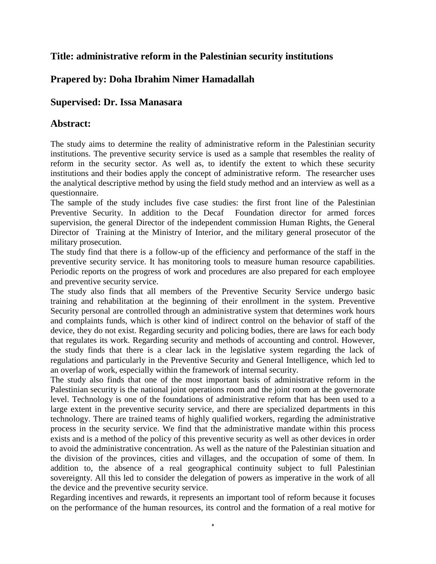## **Title: administrative reform in the Palestinian security institutions**

## **Prapered by: Doha Ibrahim Nimer Hamadallah**

## **Supervised: Dr. Issa Manasara**

## **Abstract:**

The study aims to determine the reality of administrative reform in the Palestinian security institutions. The preventive security service is used as a sample that resembles the reality of reform in the security sector. As well as, to identify the extent to which these security institutions and their bodies apply the concept of administrative reform. The researcher uses the analytical descriptive method by using the field study method and an interview as well as a questionnaire.

The sample of the study includes five case studies: the first front line of the Palestinian Preventive Security. In addition to the Decaf Foundation director for armed forces supervision, the general Director of the independent commission Human Rights, the General Director of Training at the Ministry of Interior, and the military general prosecutor of the military prosecution.

The study find that there is a follow-up of the efficiency and performance of the staff in the preventive security service. It has monitoring tools to measure human resource capabilities. Periodic reports on the progress of work and procedures are also prepared for each employee and preventive security service.

The study also finds that all members of the Preventive Security Service undergo basic training and rehabilitation at the beginning of their enrollment in the system. Preventive Security personal are controlled through an administrative system that determines work hours and complaints funds, which is other kind of indirect control on the behavior of staff of the device, they do not exist. Regarding security and policing bodies, there are laws for each body that regulates its work. Regarding security and methods of accounting and control. However, the study finds that there is a clear lack in the legislative system regarding the lack of regulations and particularly in the Preventive Security and General Intelligence, which led to an overlap of work, especially within the framework of internal security.

The study also finds that one of the most important basis of administrative reform in the Palestinian security is the national joint operations room and the joint room at the governorate level. Technology is one of the foundations of administrative reform that has been used to a large extent in the preventive security service, and there are specialized departments in this technology. There are trained teams of highly qualified workers, regarding the administrative process in the security service. We find that the administrative mandate within this process exists and is a method of the policy of this preventive security as well as other devices in order to avoid the administrative concentration. As well as the nature of the Palestinian situation and the division of the provinces, cities and villages, and the occupation of some of them. In addition to, the absence of a real geographical continuity subject to full Palestinian sovereignty. All this led to consider the delegation of powers as imperative in the work of all the device and the preventive security service.

Regarding incentives and rewards, it represents an important tool of reform because it focuses on the performance of the human resources, its control and the formation of a real motive for